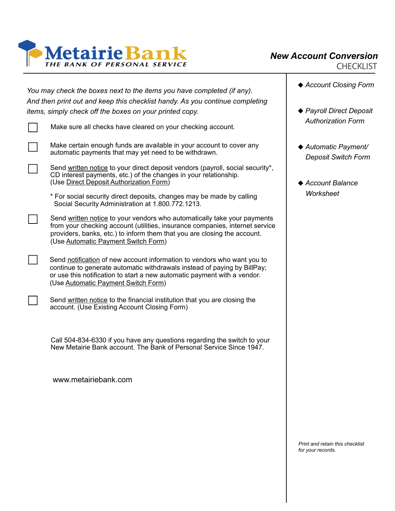

*New Account Conversion CHECKLIST*

| You may check the boxes next to the items you have completed (if any).<br>And then print out and keep this checklist handy. As you continue completing<br>items, simply check off the boxes on your printed copy.                                                           |  |
|-----------------------------------------------------------------------------------------------------------------------------------------------------------------------------------------------------------------------------------------------------------------------------|--|
| Make sure all checks have cleared on your checking account.                                                                                                                                                                                                                 |  |
| Make certain enough funds are available in your account to cover any<br>automatic payments that may yet need to be withdrawn.                                                                                                                                               |  |
| Send written notice to your direct deposit vendors (payroll, social security*,<br>CD interest payments, etc.) of the changes in your relationship.<br>(Use Direct Deposit Authorization Form)                                                                               |  |
| * For social security direct deposits, changes may be made by calling<br>Social Security Administration at 1.800.772.1213.                                                                                                                                                  |  |
| Send written notice to your vendors who automatically take your payments<br>from your checking account (utilities, insurance companies, internet service<br>providers, banks, etc.) to inform them that you are closing the account.<br>(Use Automatic Payment Switch Form) |  |
| Send notification of new account information to vendors who want you to<br>continue to generate automatic withdrawals instead of paying by BillPay;<br>or use this notification to start a new automatic payment with a vendor.<br>(Use Automatic Payment Switch Form)      |  |
| Send written notice to the financial institution that you are closing the<br>account. (Use Existing Account Closing Form)                                                                                                                                                   |  |
| Call 504-834-6330 if you have any questions regarding the switch to your<br>New Metairie Bank account. The Bank of Personal Service Since 1947.                                                                                                                             |  |

www.metairiebank.com

- *Account Closing Form*
- *Payroll Direct Deposit Authorization Form*
- *Automatic Payment/ Deposit Switch Form*
- *Account Balance Worksheet*

*Print and retain this checklist for your records.*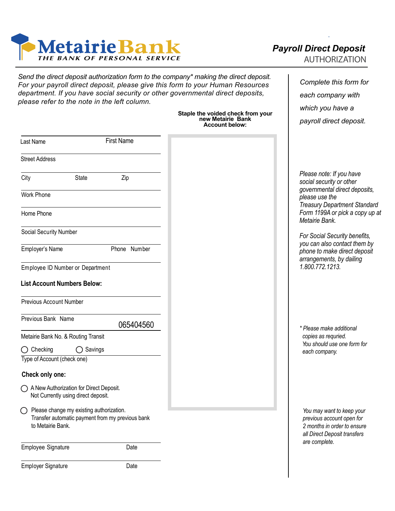

Last Name

*Send the direct deposit authorization form to the company\* making the direct deposit. For your payroll direct deposit, please give this form to your Human Resources department. If you have social security or other governmental direct deposits, please refer to the note in the left column.*

## **Staple the voided check from your new Metairie Bank Account below:**

## *Payroll Direct Deposit AUTHORIZATION*

*Complete this form for each company with which you have a payroll direct deposit.*

| Last Name                                                                                                         | <b>First Name</b>  |              |
|-------------------------------------------------------------------------------------------------------------------|--------------------|--------------|
| <b>Street Address</b>                                                                                             |                    |              |
| City                                                                                                              | <b>State</b>       | Zip          |
| <b>Work Phone</b><br>Home Phone                                                                                   |                    |              |
|                                                                                                                   |                    |              |
| Social Security Number                                                                                            |                    |              |
| Employer's Name                                                                                                   |                    | Phone Number |
| Employee ID Number or Department                                                                                  |                    |              |
| <b>List Account Numbers Below:</b>                                                                                |                    |              |
| <b>Previous Account Number</b>                                                                                    |                    |              |
| Previous Bank Name                                                                                                |                    |              |
|                                                                                                                   |                    | 065404560    |
| Metairie Bank No. & Routing Transit                                                                               |                    |              |
| $\bigcirc$ Checking<br>Type of Account (check one)                                                                | $\bigcirc$ Savings |              |
| Check only one:                                                                                                   |                    |              |
| A New Authorization for Direct Deposit.<br>Not Currently using direct deposit.                                    |                    |              |
| Please change my existing authorization.<br>Transfer automatic payment from my previous bank<br>to Metairie Bank. |                    |              |
| Employee Signature                                                                                                |                    | Date         |
| <b>Employer Signature</b>                                                                                         |                    | Date         |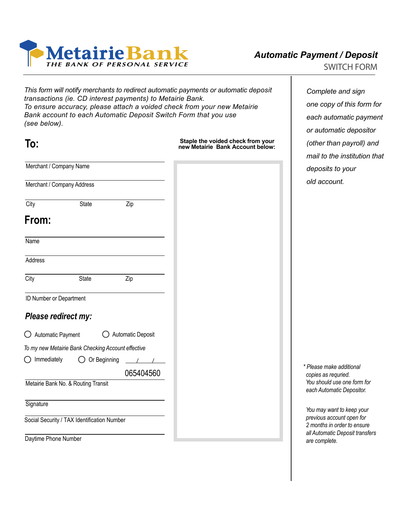

*This form will notify merchants to redirect automatic payments or automatic deposit transactions (ie. CD interest payments) to Metairie Bank. To ensure accuracy, please attach a voided check from your new Metairie Bank account to each Automatic Deposit Switch Form that you use (see below).*

| To:                                                        |                                                    | Staple the voided check from your<br>new Metairie Bank Account below: |  |
|------------------------------------------------------------|----------------------------------------------------|-----------------------------------------------------------------------|--|
| Merchant / Company Name                                    |                                                    |                                                                       |  |
| Merchant / Company Address                                 |                                                    |                                                                       |  |
| City                                                       | <b>State</b>                                       | Zip                                                                   |  |
| From:                                                      |                                                    |                                                                       |  |
| Name                                                       |                                                    |                                                                       |  |
| Address                                                    |                                                    |                                                                       |  |
| City                                                       | <b>State</b>                                       | Zip                                                                   |  |
| ID Number or Department                                    |                                                    |                                                                       |  |
| Please redirect my:                                        |                                                    |                                                                       |  |
| Automatic Payment<br>Ő                                     |                                                    | Automatic Deposit                                                     |  |
|                                                            | To my new Metairie Bank Checking Account effective |                                                                       |  |
| Immediately<br>$\left(\begin{array}{c} \end{array}\right)$ | Or Beginning                                       |                                                                       |  |
|                                                            |                                                    | 065404560                                                             |  |
|                                                            | Metairie Bank No. & Routing Transit                |                                                                       |  |
| Signature                                                  |                                                    |                                                                       |  |
|                                                            | Social Security / TAX Identification Number        |                                                                       |  |
| Daytime Phone Number                                       |                                                    |                                                                       |  |

*Complete and sign one copy of this form for each automatic payment or automatic depositor (other than payroll) and mail to the institution that deposits to your old account.*

*\* Please make additional copies as requried. You should use one form for each Automatic Depositor.*

*You may want to keep your previous account open for 2 months in order to ensure all Automatic Deposit transfers are complete.*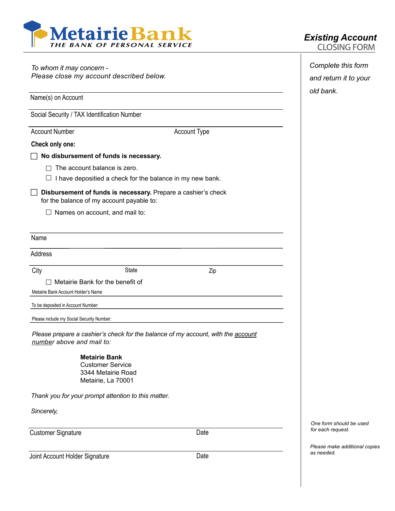

| To whom it may concern -<br>Please close my account described below.                                          | Complete this form<br>and return it to your |                     |                                              |
|---------------------------------------------------------------------------------------------------------------|---------------------------------------------|---------------------|----------------------------------------------|
| Name(s) on Account                                                                                            |                                             |                     | old bank.                                    |
| Social Security / TAX Identification Number                                                                   |                                             |                     |                                              |
| <b>Account Number</b>                                                                                         |                                             | <b>Account Type</b> |                                              |
| Check only one:                                                                                               |                                             |                     |                                              |
| No disbursement of funds is necessary.                                                                        |                                             |                     |                                              |
| The account balance is zero.                                                                                  |                                             |                     |                                              |
| I have depositied a check for the balance in my new bank.                                                     |                                             |                     |                                              |
| Disbursement of funds is necessary. Prepare a cashier's check<br>for the balance of my account payable to:    |                                             |                     |                                              |
| $\Box$ Names on account, and mail to:                                                                         |                                             |                     |                                              |
| Name                                                                                                          |                                             |                     |                                              |
| Address                                                                                                       |                                             |                     |                                              |
| City                                                                                                          | State                                       | Zip                 |                                              |
| Metairie Bank for the benefit of                                                                              |                                             |                     |                                              |
| Metairie Bank Account Holder's Name                                                                           |                                             |                     |                                              |
| To be deposited in Account Number:                                                                            |                                             |                     |                                              |
| Please include my Social Security Number:                                                                     |                                             |                     |                                              |
| Please prepare a cashier's check for the balance of my account, with the account<br>number above and mail to: |                                             |                     |                                              |
| <b>Metairie Bank</b><br><b>Customer Service</b><br>3344 Metairie Road<br>Metairie, La 70001                   |                                             |                     |                                              |
| Thank you for your prompt attention to this matter.                                                           |                                             |                     |                                              |
| Sincerely,                                                                                                    |                                             |                     |                                              |
| <b>Customer Signature</b>                                                                                     |                                             | Date                | One form should be used<br>for each request. |

Joint Account Holder Signature Date

*Please make additional copies as needed.*

## *Existing Account*

 $\overline{1}$ 

*CLOSING FORM*